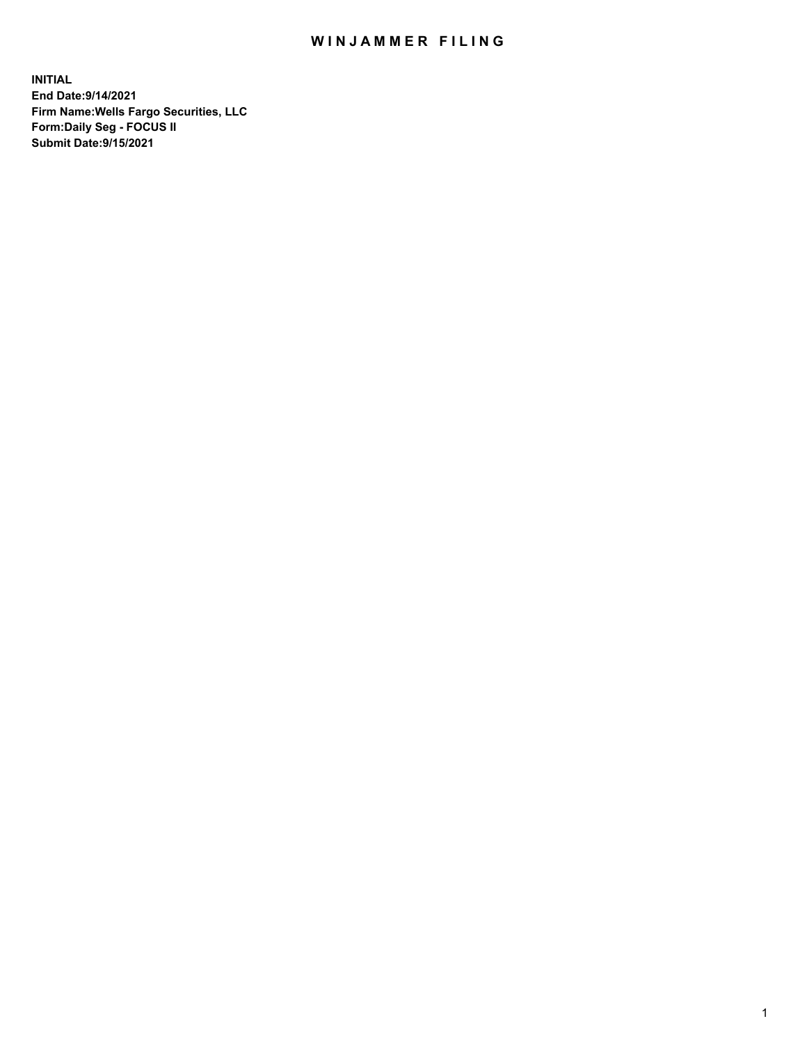## WIN JAMMER FILING

**INITIAL End Date:9/14/2021 Firm Name:Wells Fargo Securities, LLC Form:Daily Seg - FOCUS II Submit Date:9/15/2021**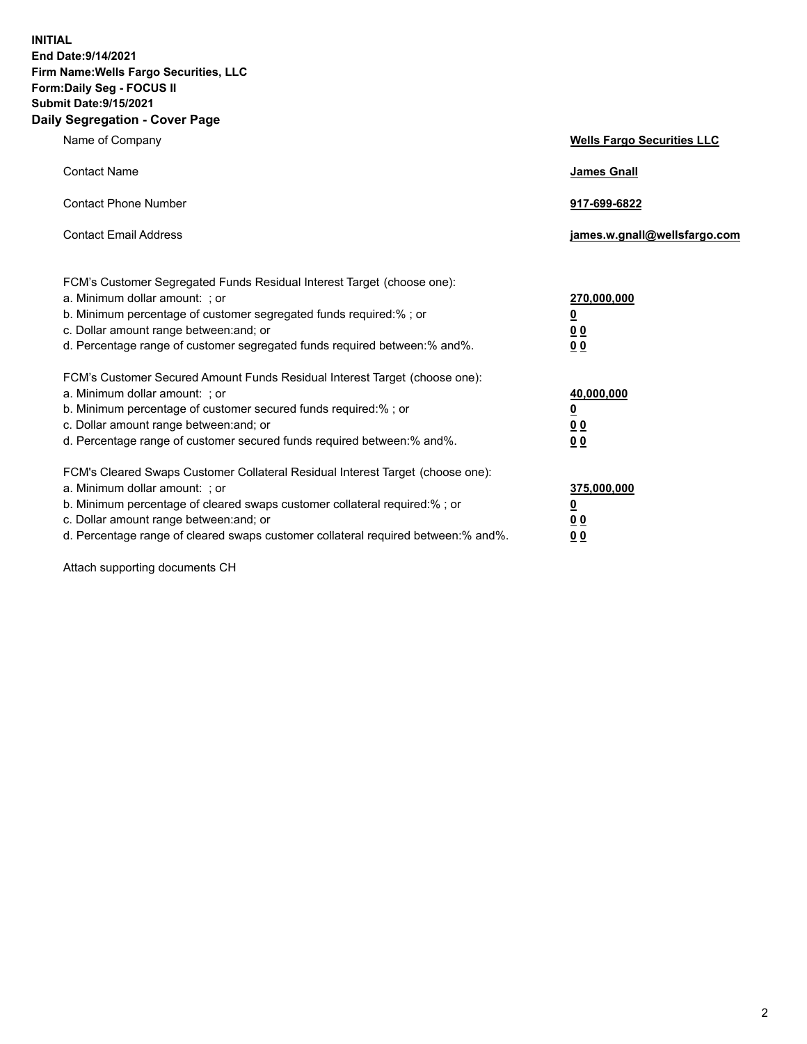**INITIAL End Date:9/14/2021 Firm Name:Wells Fargo Securities, LLC Form:Daily Seg - FOCUS II Submit Date:9/15/2021 Daily Segregation - Cover Page**

| Name of Company                                                                                                                                                                                                                                                                                                                | <b>Wells Fargo Securities LLC</b>                          |
|--------------------------------------------------------------------------------------------------------------------------------------------------------------------------------------------------------------------------------------------------------------------------------------------------------------------------------|------------------------------------------------------------|
| <b>Contact Name</b>                                                                                                                                                                                                                                                                                                            | <b>James Gnall</b>                                         |
| <b>Contact Phone Number</b>                                                                                                                                                                                                                                                                                                    | 917-699-6822                                               |
| <b>Contact Email Address</b>                                                                                                                                                                                                                                                                                                   | james.w.gnall@wellsfargo.com                               |
| FCM's Customer Segregated Funds Residual Interest Target (choose one):<br>a. Minimum dollar amount: ; or<br>b. Minimum percentage of customer segregated funds required:% ; or<br>c. Dollar amount range between: and; or<br>d. Percentage range of customer segregated funds required between: % and %.                       | 270,000,000<br><u>0</u><br><u>00</u><br>0 <sub>0</sub>     |
| FCM's Customer Secured Amount Funds Residual Interest Target (choose one):<br>a. Minimum dollar amount: ; or<br>b. Minimum percentage of customer secured funds required:% ; or<br>c. Dollar amount range between: and; or<br>d. Percentage range of customer secured funds required between: % and %.                         | 40,000,000<br><u>0</u><br>0 <sub>0</sub><br>0 <sub>0</sub> |
| FCM's Cleared Swaps Customer Collateral Residual Interest Target (choose one):<br>a. Minimum dollar amount: ; or<br>b. Minimum percentage of cleared swaps customer collateral required:% ; or<br>c. Dollar amount range between: and; or<br>d. Percentage range of cleared swaps customer collateral required between:% and%. | 375,000,000<br><u>0</u><br>00<br><u>00</u>                 |

Attach supporting documents CH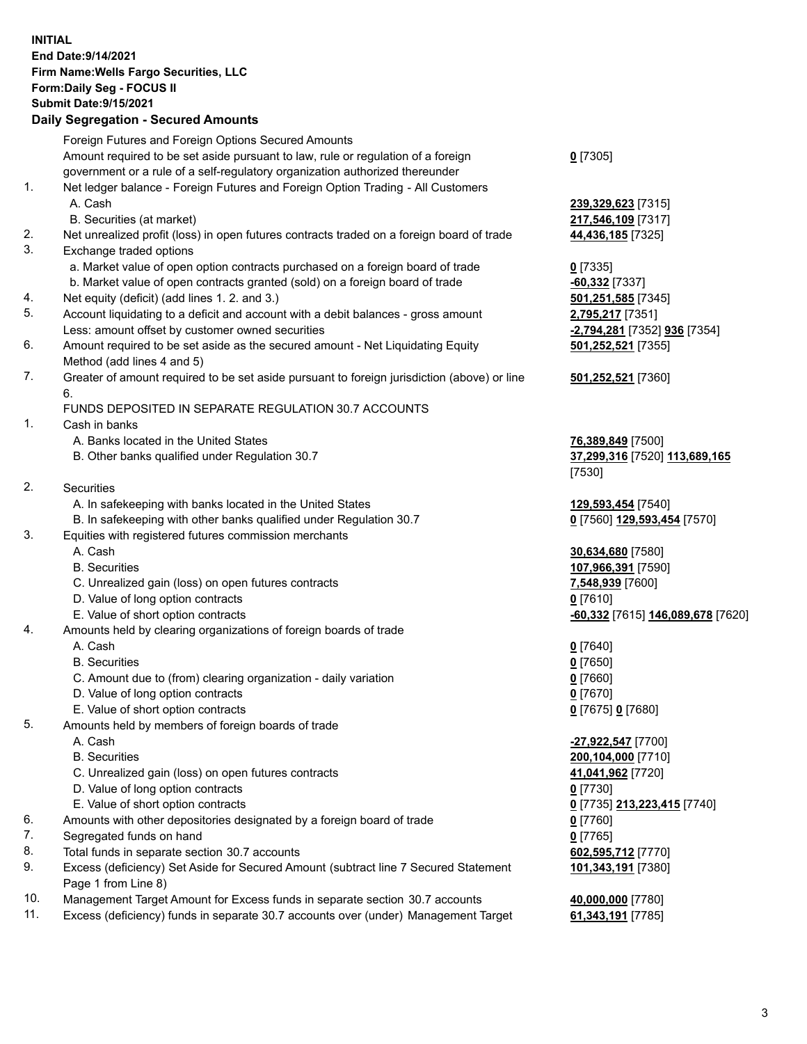**INITIAL End Date:9/14/2021 Firm Name:Wells Fargo Securities, LLC Form:Daily Seg - FOCUS II Submit Date:9/15/2021**

## **Daily Segregation - Secured Amounts**

|    | Foreign Futures and Foreign Options Secured Amounts                                         |                                   |
|----|---------------------------------------------------------------------------------------------|-----------------------------------|
|    | Amount required to be set aside pursuant to law, rule or regulation of a foreign            | $0$ [7305]                        |
|    | government or a rule of a self-regulatory organization authorized thereunder                |                                   |
| 1. | Net ledger balance - Foreign Futures and Foreign Option Trading - All Customers             |                                   |
|    | A. Cash                                                                                     | 239,329,623 [7315]                |
|    | B. Securities (at market)                                                                   | 217,546,109 [7317]                |
| 2. | Net unrealized profit (loss) in open futures contracts traded on a foreign board of trade   | 44,436,185 [7325]                 |
| 3. | Exchange traded options                                                                     |                                   |
|    | a. Market value of open option contracts purchased on a foreign board of trade              | $0$ [7335]                        |
|    | b. Market value of open contracts granted (sold) on a foreign board of trade                | $-60,332$ [7337]                  |
| 4. | Net equity (deficit) (add lines 1. 2. and 3.)                                               | 501,251,585 [7345]                |
| 5. | Account liquidating to a deficit and account with a debit balances - gross amount           | 2,795,217 [7351]                  |
|    | Less: amount offset by customer owned securities                                            | -2,794,281 [7352] 936 [7354]      |
| 6. | Amount required to be set aside as the secured amount - Net Liquidating Equity              | 501,252,521 [7355]                |
|    | Method (add lines 4 and 5)                                                                  |                                   |
| 7. | Greater of amount required to be set aside pursuant to foreign jurisdiction (above) or line | 501,252,521 [7360]                |
|    | 6.                                                                                          |                                   |
|    | FUNDS DEPOSITED IN SEPARATE REGULATION 30.7 ACCOUNTS                                        |                                   |
| 1. | Cash in banks                                                                               |                                   |
|    | A. Banks located in the United States                                                       | 76,389,849 [7500]                 |
|    | B. Other banks qualified under Regulation 30.7                                              | 37,299,316 [7520] 113,689,165     |
|    |                                                                                             | [7530]                            |
| 2. | <b>Securities</b>                                                                           |                                   |
|    | A. In safekeeping with banks located in the United States                                   | 129,593,454 [7540]                |
|    | B. In safekeeping with other banks qualified under Regulation 30.7                          | 0 [7560] 129,593,454 [7570]       |
| 3. | Equities with registered futures commission merchants                                       |                                   |
|    | A. Cash                                                                                     | 30,634,680 [7580]                 |
|    | <b>B.</b> Securities                                                                        | 107,966,391 [7590]                |
|    | C. Unrealized gain (loss) on open futures contracts                                         | 7,548,939 [7600]                  |
|    | D. Value of long option contracts                                                           | $0$ [7610]                        |
|    | E. Value of short option contracts                                                          | -60,332 [7615] 146,089,678 [7620] |
| 4. | Amounts held by clearing organizations of foreign boards of trade                           |                                   |
|    | A. Cash                                                                                     | $0$ [7640]                        |
|    | <b>B.</b> Securities                                                                        | $0$ [7650]                        |
|    | C. Amount due to (from) clearing organization - daily variation                             | $0$ [7660]                        |
|    | D. Value of long option contracts                                                           | $0$ [7670]                        |
|    | E. Value of short option contracts                                                          | 0 [7675] 0 [7680]                 |
| 5. | Amounts held by members of foreign boards of trade                                          |                                   |
|    | A. Cash                                                                                     | -27,922,547 [7700]                |
|    | <b>B.</b> Securities                                                                        | 200,104,000 [7710]                |
|    | C. Unrealized gain (loss) on open futures contracts                                         | 41,041,962 [7720]                 |
|    | D. Value of long option contracts                                                           | $0$ [7730]                        |
|    | E. Value of short option contracts                                                          | 0 [7735] 213,223,415 [7740]       |
| 6. | Amounts with other depositories designated by a foreign board of trade                      | 0 [7760]                          |
| 7. | Segregated funds on hand                                                                    | $0$ [7765]                        |
| 8. | Total funds in separate section 30.7 accounts                                               | 602,595,712 [7770]                |
| 9. | Excess (deficiency) Set Aside for Secured Amount (subtract line 7 Secured Statement         | 101,343,191 [7380]                |
|    | Page 1 from Line 8)                                                                         |                                   |
|    |                                                                                             |                                   |

- 10. Management Target Amount for Excess funds in separate section 30.7 accounts **40,000,000** [7780]
- 11. Excess (deficiency) funds in separate 30.7 accounts over (under) Management Target **61,343,191** [7785]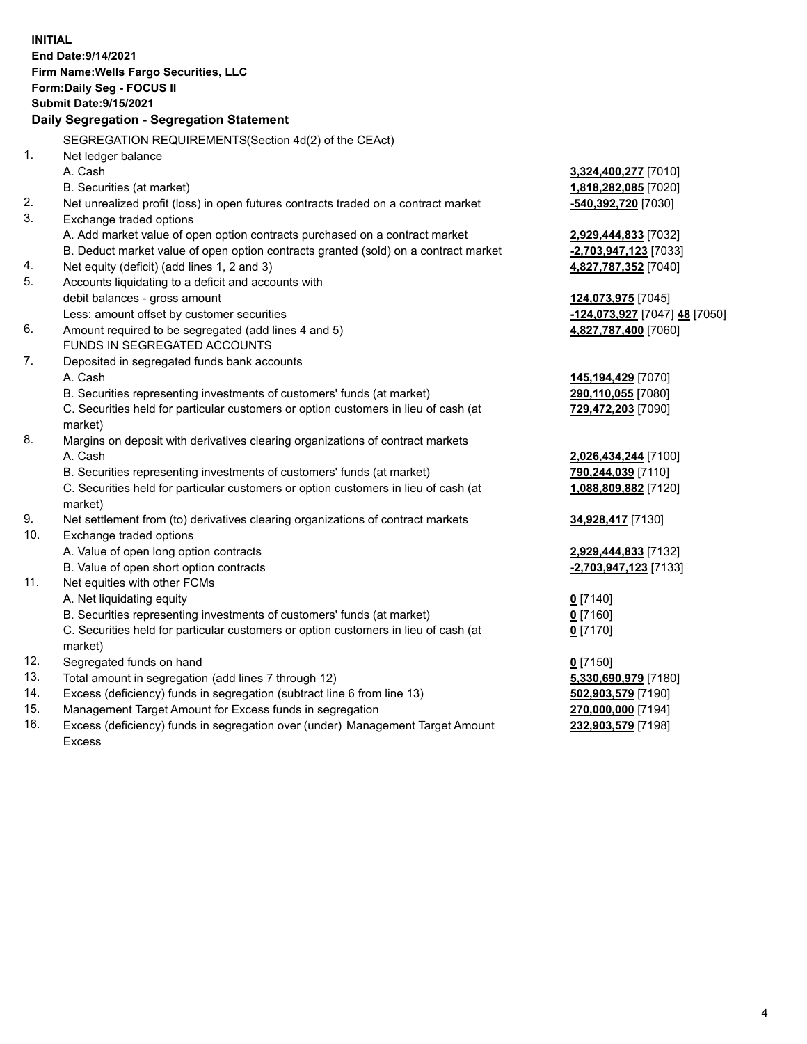**INITIAL End Date:9/14/2021 Firm Name:Wells Fargo Securities, LLC Form:Daily Seg - FOCUS II Submit Date:9/15/2021 Daily Segregation - Segregation Statement** SEGREGATION REQUIREMENTS(Section 4d(2) of the CEAct) 1. Net ledger balance A. Cash **3,324,400,277** [7010] B. Securities (at market) **1,818,282,085** [7020] 2. Net unrealized profit (loss) in open futures contracts traded on a contract market **-540,392,720** [7030] 3. Exchange traded options A. Add market value of open option contracts purchased on a contract market **2,929,444,833** [7032] B. Deduct market value of open option contracts granted (sold) on a contract market **-2,703,947,123** [7033] 4. Net equity (deficit) (add lines 1, 2 and 3) **4,827,787,352** [7040] 5. Accounts liquidating to a deficit and accounts with debit balances - gross amount **124,073,975** [7045] Less: amount offset by customer securities **-124,073,927** [7047] **48** [7050] 6. Amount required to be segregated (add lines 4 and 5) **4,827,787,400** [7060] FUNDS IN SEGREGATED ACCOUNTS 7. Deposited in segregated funds bank accounts A. Cash **145,194,429** [7070] B. Securities representing investments of customers' funds (at market) **290,110,055** [7080] C. Securities held for particular customers or option customers in lieu of cash (at market) **729,472,203** [7090] 8. Margins on deposit with derivatives clearing organizations of contract markets A. Cash **2,026,434,244** [7100] B. Securities representing investments of customers' funds (at market) **790,244,039** [7110] C. Securities held for particular customers or option customers in lieu of cash (at market) **1,088,809,882** [7120] 9. Net settlement from (to) derivatives clearing organizations of contract markets **34,928,417** [7130] 10. Exchange traded options A. Value of open long option contracts **2,929,444,833** [7132] B. Value of open short option contracts **-2,703,947,123** [7133] 11. Net equities with other FCMs A. Net liquidating equity **0** [7140] B. Securities representing investments of customers' funds (at market) **0** [7160] C. Securities held for particular customers or option customers in lieu of cash (at market) **0** [7170] 12. Segregated funds on hand **0** [7150] 13. Total amount in segregation (add lines 7 through 12) **5,330,690,979** [7180] 14. Excess (deficiency) funds in segregation (subtract line 6 from line 13) **502,903,579** [7190] 15. Management Target Amount for Excess funds in segregation **270,000,000** [7194]

16. Excess (deficiency) funds in segregation over (under) Management Target Amount Excess

**232,903,579** [7198]